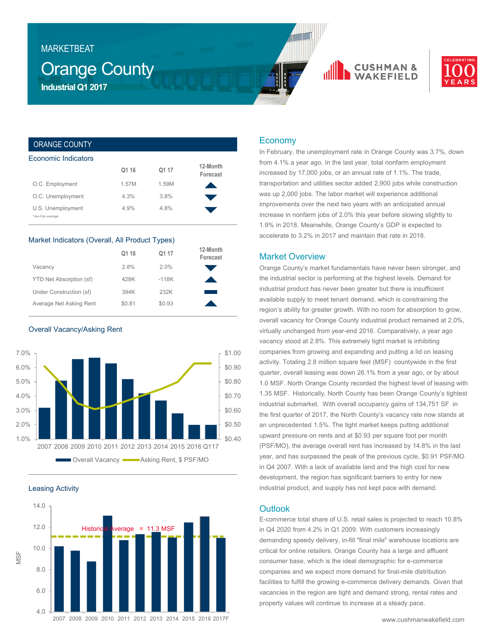## MARKETBEAT

## Orange County **Industrial Q1 2017**





## ORANGE COUNTY

| Economic Indicators                   |       |       |                      |
|---------------------------------------|-------|-------|----------------------|
|                                       | Q1 16 | Q1 17 | 12-Month<br>Forecast |
| O.C. Employment                       | 1.57M | 1.59M |                      |
| O.C. Unemployment                     | 4.3%  | 3.8%  |                      |
| U.S. Unemployment<br>*Jan-Feb average | 4.9%  | 4.8%  |                      |

## Market Indicators (Overall, All Product Types)

|                         | Q1 16  | Q1 17   | 12-Month<br>Forecast |
|-------------------------|--------|---------|----------------------|
| Vacancy                 | 2.8%   | 2.0%    |                      |
| YTD Net Absorption (sf) | 428K   | $-118K$ |                      |
| Under Construction (sf) | 394K   | 232K    |                      |
| Average Net Asking Rent | \$0.81 | \$0.93  |                      |

Overall Vacancy/Asking Rent



Leasing Activity



## Economy

In February, the unemployment rate in Orange County was 3.7%, down from 4.1% a year ago. In the last year, total nonfarm employment increased by 17,000 jobs, or an annual rate of 1.1%. The trade, transportation and utilities sector added 2,900 jobs while construction was up 2,000 jobs. The labor market will experience additional improvements over the next two years with an anticipated annual increase in nonfarm jobs of 2.0% this year before slowing slightly to 1.9% in 2018. Meanwhile, Orange County's GDP is expected to accelerate to 3.2% in 2017 and maintain that rate in 2018.

## Market Overview

Orange County's market fundamentals have never been stronger, and the industrial sector is performing at the highest levels. Demand for industrial product has never been greater but there is insufficient available supply to meet tenant demand, which is constraining the region's ability for greater growth. With no room for absorption to grow, overall vacancy for Orange County industrial product remained at 2.0%, virtually unchanged from year-end 2016. Comparatively, a year ago vacancy stood at 2.8%. This extremely tight market is inhibiting companies from growing and expanding and putting a lid on leasing activity. Totaling 2.8 million square feet (MSF) countywide in the first quarter, overall leasing was down 26.1% from a year ago, or by about 1.0 MSF. North Orange County recorded the highest level of leasing with 1.35 MSF. Historically, North County has been Orange County's tightest industrial submarket. With overall occupancy gains of 134,751 SF in the first quarter of 2017, the North County's vacancy rate now stands at an unprecedented 1.5%. The tight market keeps putting additional upward pressure on rents and at \$0.93 per square foot per month (PSF/MO), the average overall rent has increased by 14.8% in the last year, and has surpassed the peak of the previous cycle, \$0.91 PSF/MO in Q4 2007. With a lack of available land and the high cost for new development, the region has significant barriers to entry for new industrial product, and supply has not kept pace with demand.

## **Outlook**

E-commerce total share of U.S. retail sales is projected to reach 10.8% in Q4 2020 from 4.2% in Q1 2009. With customers increasingly demanding speedy delivery, in-fill "final mile" warehouse locations are critical for online retailers. Orange County has a large and affluent consumer base, which is the ideal demographic for e-commerce companies and we expect more demand for final-mile distribution facilities to fulfill the growing e-commerce delivery demands. Given that vacancies in the region are tight and demand strong, rental rates and property values will continue to increase at a steady pace.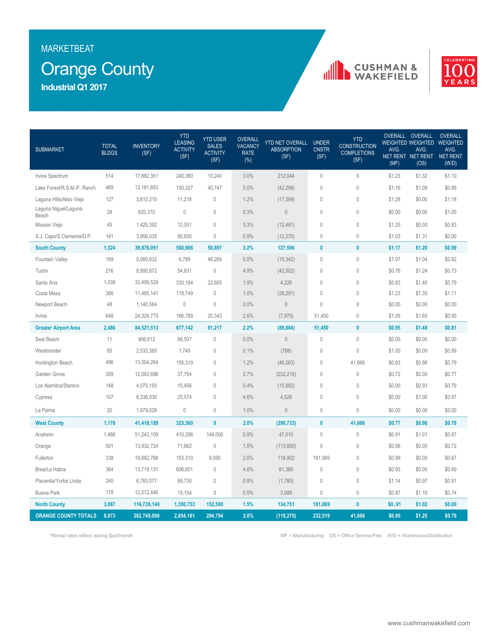## MARKETBEAT

# Orange County

**Industrial Q1 2017**





| <b>SUBMARKET</b>              | <b>TOTAL</b><br><b>BLDGS</b> | <b>INVENTORY</b><br>(SF) | <b>YTD</b><br><b>LEASING</b><br><b>ACTIVITY</b><br>(SF) | <b>YTD USER</b><br><b>SALES</b><br><b>ACTIVITY</b><br>(SF) | <b>OVERALL</b><br><b>VACANCY</b><br><b>RATE</b><br>$(\%)$ | YTD NET OVERALL<br><b>ABSORPTION</b><br>(SF) | <b>UNDER</b><br><b>CNSTR</b><br>(SF) | <b>YTD</b><br><b>CONSTRUCTION</b><br><b>COMPLETIONS</b><br>(SF) | AVG.<br>(MF) | OVERALL OVERALL<br>AVG.<br>NET RENT NET RENT<br>(OS) | <b>OVERALL</b><br><b>WEIGHTED WEIGHTED WEIGHTED</b><br>AVG.<br>NET RENT<br>(W/D) |
|-------------------------------|------------------------------|--------------------------|---------------------------------------------------------|------------------------------------------------------------|-----------------------------------------------------------|----------------------------------------------|--------------------------------------|-----------------------------------------------------------------|--------------|------------------------------------------------------|----------------------------------------------------------------------------------|
| Irvine Spectrum               | 514                          | 17,882,351               | 240,380                                                 | 10,240                                                     | 3.0%                                                      | 212,044                                      | $\mathbf 0$                          | $\mathbf 0$                                                     | \$1.23       | \$1.32                                               | \$1.10                                                                           |
| Lake Forest/R.S.M./F. Ranch   | 469                          | 12,181,693               | 150,327                                                 | 40,747                                                     | 5.0%                                                      | (42, 298)                                    | $\mathbf 0$                          | $\mathbf{0}$                                                    | \$1.16       | \$1.09                                               | \$0.89                                                                           |
| Laguna Hills/Aliso Viejo      | 127                          | 3,810,210                | 11,218                                                  | $\mathbf 0$                                                | 1.2%                                                      | (17, 399)                                    | $\mathbf{0}$                         | $\mathbf 0$                                                     | \$1.28       | \$0.00                                               | \$1.18                                                                           |
| Laguna Niguel/Laguna<br>Beach | 28                           | 620,370                  | $\mathbb O$                                             | $\mathbf 0$                                                | 0.3%                                                      | $\mathbf{0}$                                 | $\mathbf{0}$                         | $\mathbf 0$                                                     | \$0.00       | \$0.00                                               | \$1.00                                                                           |
| Mission Viejo                 | 45                           | 1,425,392                | 12,051                                                  | $\mathbf{0}$                                               | 3.3%                                                      | (12, 481)                                    | $\mathbf{0}$                         | $\mathbf{0}$                                                    | \$1.25       | \$0.00                                               | \$0.83                                                                           |
| S.J. Capo/S.Clemente/D.P.     | 141                          | 3,956,035                | 86,930                                                  | $\theta$                                                   | 0.9%                                                      | (12, 270)                                    | $\mathbf 0$                          | $\mathbb O$                                                     | \$1.03       | \$1.31                                               | \$0.00                                                                           |
| <b>South County</b>           | 1,324                        | 39,876,051               | 500,906                                                 | 50,897                                                     | 3.2%                                                      | 127,596                                      | $\bf{0}$                             | $\mathbf{0}$                                                    | \$1.17       | \$1.20                                               | \$0.99                                                                           |
| Fountain Valley               | 169                          | 5,080,632                | 6,789                                                   | 48,269                                                     | 0.5%                                                      | (15, 342)                                    | $\mathbf 0$                          | $\mathbb O$                                                     | \$1.07       | \$1.04                                               | \$0.82                                                                           |
| Tustin                        | 216                          | 8,990,872                | 54,631                                                  | $\mathbf 0$                                                | 4.9%                                                      | (42, 502)                                    | $\mathbf{0}$                         | $\mathbf 0$                                                     | \$0.76       | \$1.24                                               | \$0.73                                                                           |
| Santa Ana                     | 1,039                        | 33,499,529               | 330,184                                                 | 22,605                                                     | 1.9%                                                      | 4,226                                        | $\theta$                             | $\mathbf{0}$                                                    | \$0.83       | \$1.40                                               | \$0.79                                                                           |
| Costa Mesa                    | 366                          | 11,485,141               | 118,749                                                 | $\mathbf{0}$                                               | 1.0%                                                      | (28, 291)                                    | $\theta$                             | $\mathbf 0$                                                     | \$1.23       | \$1.35                                               | \$1.11                                                                           |
| Newport Beach                 | 48                           | 1,140,564                | $\mathbb O$                                             | $\theta$                                                   | 0.0%                                                      | $\theta$                                     | $\theta$                             | $\theta$                                                        | \$0.00       | \$0.00                                               | \$0.00                                                                           |
| Irvine                        | 648                          | 24,324,775               | 166,789                                                 | 20,343                                                     | 2.6%                                                      | (7, 975)                                     | 51,450                               | $\mathbb O$                                                     | \$1.05       | \$1.65                                               | \$0.90                                                                           |
| <b>Greater Airport Area</b>   | 2,486                        | 84,521,513               | 677,142                                                 | 91,217                                                     | 2.2%                                                      | (89, 884)                                    | 51,450                               | $\mathbf{0}$                                                    | \$0.95       | \$1.48                                               | \$0.81                                                                           |
| Seal Beach                    | 11                           | 906,612                  | 88,507                                                  | $\mathbb O$                                                | 0.0%                                                      | $\bf 0$                                      | $\mathbf 0$                          | $\mathbf 0$                                                     | \$0.00       | \$0.00                                               | \$0.00                                                                           |
| Westminster                   | 85                           | 2,533,365                | 1,740                                                   | $\mathbf 0$                                                | 0.1%                                                      | (788)                                        | $\mathbf{0}$                         | $\mathbf{0}$                                                    | \$1.00       | \$0.00                                               | \$0.89                                                                           |
| Huntington Beach              | 496                          | 13,504,264               | 156,319                                                 | $\mathbf{0}$                                               | 1.2%                                                      | (46, 263)                                    | $\mathbf 0$                          | 41,666                                                          | \$0.83       | \$0.96                                               | \$0.79                                                                           |
| Garden Grove                  | 309                          | 12,083,696               | 37,764                                                  | $\mathbf{0}$                                               | 2.7%                                                      | (232, 216)                                   | $\mathbf 0$                          | $\mathbb O$                                                     | \$0.72       | \$0.00                                               | \$0.77                                                                           |
| Los Alamitos/Stanton          | 148                          | 4,075,193                | 15,456                                                  | $\mathbf{0}$                                               | 0.4%                                                      | (15, 992)                                    | $\mathbf{0}$                         | $\mathbf{0}$                                                    | \$0.00       | \$0.93                                               | \$0.79                                                                           |
| Cypress                       | 107                          | 6,336,030                | 25,574                                                  | $\mathbf{0}$                                               | 4.6%                                                      | 4,526                                        | $\mathbf{0}$                         | $\mathbf{0}$                                                    | \$0.00       | \$1.00                                               | \$0.97                                                                           |
| La Palma                      | 20                           | 1,979,029                | $\mathbb O$                                             | $\mathbf 0$                                                | 1.0%                                                      | $\bf 0$                                      | $\mathbf 0$                          | $\mathbb O$                                                     | \$0.00       | \$0.00                                               | \$0.00                                                                           |
| <b>West County</b>            | 1,176                        | 41,418,189               | 325,360                                                 | $\mathbf{0}$                                               | 2.0%                                                      | (290, 733)                                   | $\mathbf{0}$                         | 41,666                                                          | \$0.77       | \$0.98                                               | \$0.78                                                                           |
| Anaheim                       | 1,466                        | 51,243,109               | 410,296                                                 | 144,000                                                    | 0.9%                                                      | 47,010                                       | $\mathbf{0}$                         | $\mathbf 0$                                                     | \$0.91       | \$1.01                                               | \$0.67                                                                           |
| Orange                        | 501                          | 13,932,724               | 71,662                                                  | $\mathbb O$                                                | 1.5%                                                      | (113, 850)                                   | $\mathbf 0$                          | $\mathbb O$                                                     | \$0.88       | \$0.00                                               | \$0.72                                                                           |
| Fullerton                     | 338                          | 18,682,766               | 153,310                                                 | 8,590                                                      | 2.0%                                                      | 118,902                                      | 181,069                              | $\mathbf{0}$                                                    | \$0.99       | \$0.00                                               | \$0.67                                                                           |
| Brea/La Habra                 | 364                          | 13,719,131               | 606,601                                                 | $\mathbf{0}$                                               | 4.6%                                                      | 81,380                                       | $\theta$                             | $\mathbf{0}$                                                    | \$0.93       | \$0.00                                               | \$0.69                                                                           |
| Placentia/Yorba Linda         | 240                          | 6,783,077                | 89,730                                                  | $\mathbf 0$                                                | 0.9%                                                      | (1,780)                                      | $\mathbf{0}$                         | $\mathbf 0$                                                     | \$1.14       | \$0.97                                               | \$0.91                                                                           |
| <b>Buena Park</b>             | 178                          | 12,572,446               | 19,154                                                  | $\mathbf 0$                                                | 0.5%                                                      | 3,089                                        | $\mathbf{0}$                         | $\mathbf{0}$                                                    | \$0.87       | \$1.10                                               | \$0.74                                                                           |
| <b>North County</b>           | 3,087                        | 116,739,140              | 1,350,753                                               | 152,590                                                    | 1.5%                                                      | 134,751                                      | 181,069                              | $\pmb{0}$                                                       | \$091        | \$1.02                                               | \$0.69                                                                           |
| <b>ORANGE COUNTY TOTALS</b>   | 8,073                        | 282,749,006              | 2,854,161                                               | 294,794                                                    | 2.0%                                                      | (118, 270)                                   | 232,519                              | 41,666                                                          | \$0.95       | \$1.25                                               | \$0.79                                                                           |

\*Rental rates reflect asking \$psf/month MF = Manufacturing OS = Office Service/Flex W/D = Warehouse/Distribution